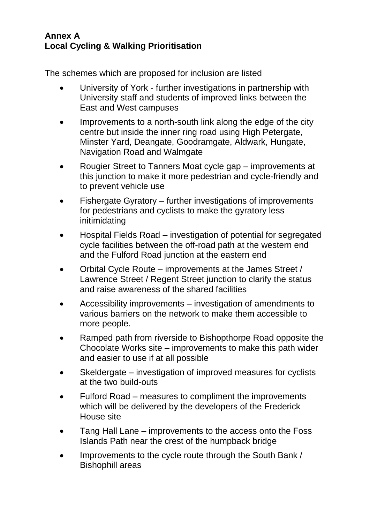## **Annex A Local Cycling & Walking Prioritisation**

The schemes which are proposed for inclusion are listed

- University of York further investigations in partnership with University staff and students of improved links between the East and West campuses
- Improvements to a north-south link along the edge of the city centre but inside the inner ring road using High Petergate, Minster Yard, Deangate, Goodramgate, Aldwark, Hungate, Navigation Road and Walmgate
- Rougier Street to Tanners Moat cycle gap improvements at this junction to make it more pedestrian and cycle-friendly and to prevent vehicle use
- Fishergate Gyratory further investigations of improvements for pedestrians and cyclists to make the gyratory less initimidating
- Hospital Fields Road investigation of potential for segregated cycle facilities between the off-road path at the western end and the Fulford Road junction at the eastern end
- Orbital Cycle Route improvements at the James Street / Lawrence Street / Regent Street junction to clarify the status and raise awareness of the shared facilities
- Accessibility improvements investigation of amendments to various barriers on the network to make them accessible to more people.
- Ramped path from riverside to Bishopthorpe Road opposite the Chocolate Works site – improvements to make this path wider and easier to use if at all possible
- Skeldergate investigation of improved measures for cyclists at the two build-outs
- Fulford Road measures to compliment the improvements which will be delivered by the developers of the Frederick House site
- Tang Hall Lane improvements to the access onto the Foss Islands Path near the crest of the humpback bridge
- Improvements to the cycle route through the South Bank / Bishophill areas